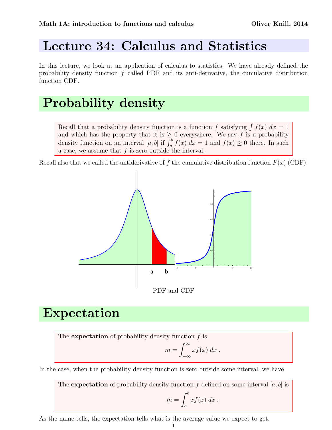## Lecture 34: Calculus and Statistics

In this lecture, we look at an application of calculus to statistics. We have already defined the probability density function  $f$  called PDF and its anti-derivative, the cumulative distribution function CDF.

# Probability density

Recall that a probability density function is a function f satisfying  $\int f(x) dx = 1$ and which has the property that it is  $\geq 0$  everywhere. We say f is a probability density function on an interval [a, b] if  $\int_a^b f(x) dx = 1$  and  $f(x) \ge 0$  there. In such a case, we assume that  $f$  is zero outside the interval.

Recall also that we called the antiderivative of f the cumulative distribution function  $F(x)$  (CDF).



### Expectation

The expectation of probability density function  $f$  is

$$
m = \int_{-\infty}^{\infty} x f(x) \, dx \; .
$$

In the case, when the probability density function is zero outside some interval, we have

The **expectation** of probability density function f defined on some interval [a, b] is  $m = \int^b$ a  $xf(x) dx$ .

As the name tells, the expectation tells what is the average value we expect to get.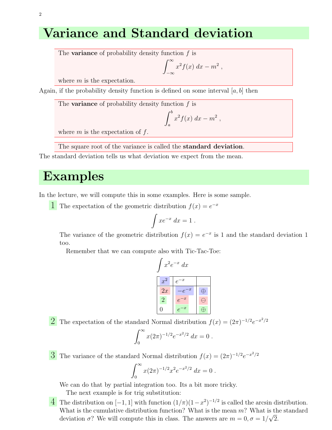### Variance and Standard deviation

The **variance** of probability density function  $f$  is

$$
\int_{-\infty}^{\infty} x^2 f(x) \, dx - m^2
$$

,

where  $m$  is the expectation.

Again, if the probability density function is defined on some interval  $[a, b]$  then

The **variance** of probability density function  $f$  is

$$
\int_a^b x^2 f(x) \ dx - m^2 \ ,
$$

where  $m$  is the expectation of  $f$ .

The square root of the variance is called the standard deviation.

The standard deviation tells us what deviation we expect from the mean.

#### Examples

In the lecture, we will compute this in some examples. Here is some sample.

**1** The expectation of the geometric distribution  $f(x) = e^{-x}$ 

$$
\int xe^{-x} dx = 1.
$$

The variance of the geometric distribution  $f(x) = e^{-x}$  is 1 and the standard deviation 1 too.

Remember that we can compute also with Tic-Tac-Toe:

$$
\int x^2 e^{-x} dx
$$
\n
$$
x^2 e^{-x}
$$
\n
$$
2x e^{-x}
$$
\n
$$
2e^{-x}
$$
\n
$$
e^{-x}
$$
\n
$$
e^{-x}
$$
\n
$$
e^{-x}
$$
\n
$$
\theta
$$
\n
$$
e^{-x}
$$

**2** The expectation of the standard Normal distribution  $f(x) = (2\pi)^{-1/2}e^{-x^2/2}$ 

$$
\int_0^\infty x(2\pi)^{-1/2} e^{-x^2/2} dx = 0.
$$

**3** The variance of the standard Normal distribution  $f(x) = (2\pi)^{-1/2}e^{-x^2/2}$ 

$$
\int_0^\infty x(2\pi)^{-1/2} x^2 e^{-x^2/2} dx = 0.
$$

We can do that by partial integration too. Its a bit more tricky.

The next example is for trig substitution:

 $\overline{4}$  The distribution on [−1, 1] with function  $(1/π)(1−x^2)^{-1/2}$  is called the arcsin distribution. What is the cumulative distribution function? What is the mean  $m$ ? What is the standard deviation  $\sigma$ ? We will compute this in class. The answers are  $m = 0, \sigma = 1/\sqrt{2}$ .